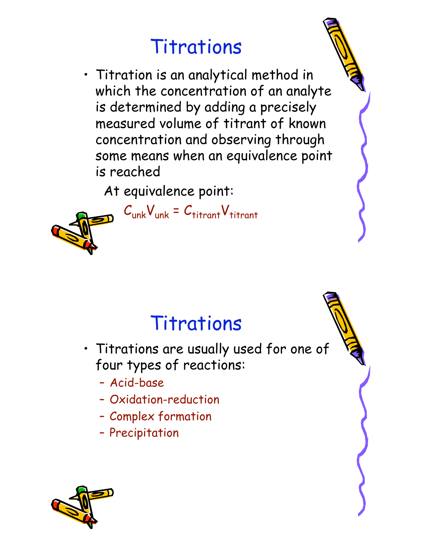• Titration is an analytical method in which the concentration of an analyte is determined by adding a precisely measured volume of titrant of known concentration and observing through some means when an equivalence point is reached

At equivalence point:

 $C_{unk}V_{unk} = C_{titrant}V_{titrant}$ 



## Titrations

- Titrations are usually used for one of four types of reactions:
	- Acid-base
	- Oxidation-reduction
	- Complex formation
	- Precipitation

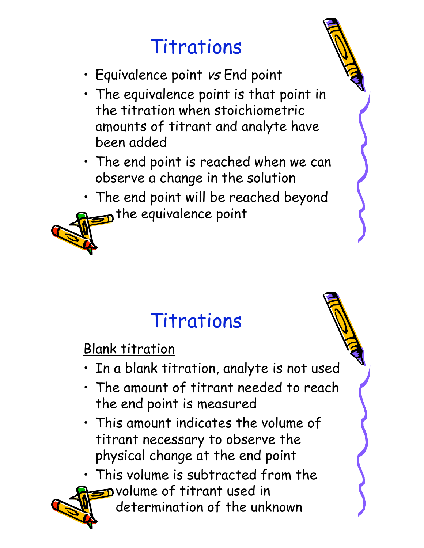- Equivalence point vs End point
- The equivalence point is that point in the titration when stoichiometric amounts of titrant and analyte have been added
- The end point is reached when we can observe a change in the solution
- The end point will be reached beyond  $\pi$  the equivalence point

## Titrations

Blank titration

- In a blank titration, analyte is not used
- The amount of titrant needed to reach the end point is measured
- This amount indicates the volume of titrant necessary to observe the physical change at the end point

• This volume is subtracted from the  $\supset$  volume of titrant used in

determination of the unknown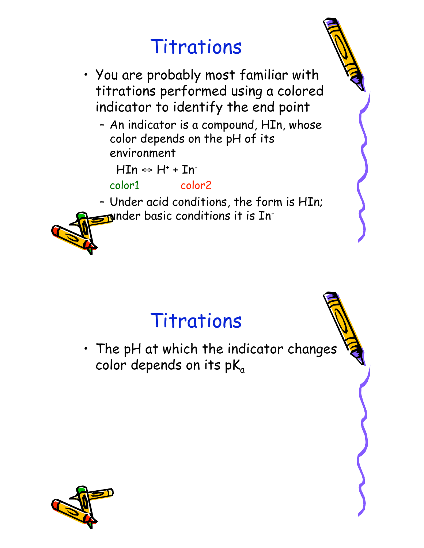- You are probably most familiar with titrations performed using a colored indicator to identify the end point
	- An indicator is a compound, HIn, whose color depends on the pH of its environment

 $HIn \leftrightarrow H^* + In^-$ 

color1 color2

– Under acid conditions, the form is HIn;  $\mathbf y$ nder basic conditions it is In-

### Titrations

• The pH at which the indicator changes color depends on its  $pK_a$ 

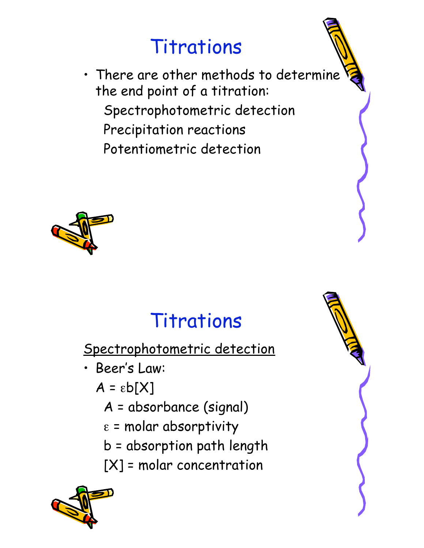• There are other methods to determine the end point of a titration: Spectrophotometric detection Precipitation reactions Potentiometric detection



# Titrations

Spectrophotometric detection

- Beer's Law:
	- $A = \varepsilon b[X]$ 
		- A = absorbance (signal)
		- $\varepsilon$  = molar absorptivity
		- b = absorption path length
		- [X] = molar concentration



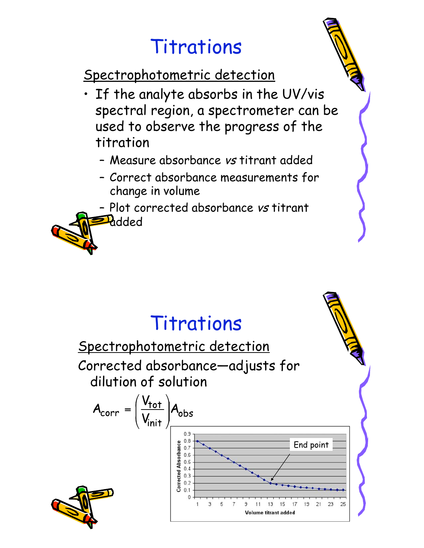Spectrophotometric detection

- If the analyte absorbs in the UV/vis spectral region, a spectrometer can be used to observe the progress of the titration
	- Measure absorbance vs titrant added
	- Correct absorbance measurements for change in volume
	- Plot corrected absorbance vs titrant **Pr**dded

#### Titrations

Spectrophotometric detection Corrected absorbance—adjusts for dilution of solution

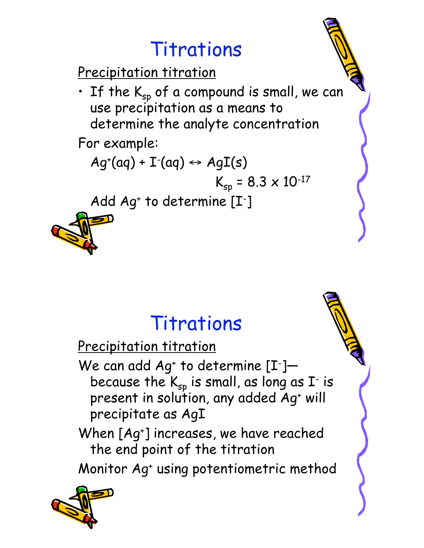Precipitation titration

 $\cdot$  If the K<sub>sp</sub> of a compound is small, we can use precipitation as a means to determine the analyte concentration

For example:

$$
Ag^{\scriptscriptstyle +}(aq)+I^{\scriptscriptstyle -}(aq)\leftrightarrow AgI(s)
$$

$$
K_{sp} = 8.3 \times 10^{-17}
$$

Add Ag<sup>+</sup> to determine [I<sup>-</sup>]



### Titrations

Precipitation titration

We can add  $Ag^*$  to determine  $[I^-]$  because the  $\mathsf{K}_{\mathsf{sp}}$  is small, as long as  $\mathtt{I}^\text{-}$  is present in solution, any added Aq<sup>+</sup> will precipitate as AgI

When [Ag+] increases, we have reached the end point of the titration

Monitor Ag+ using potentiometric method

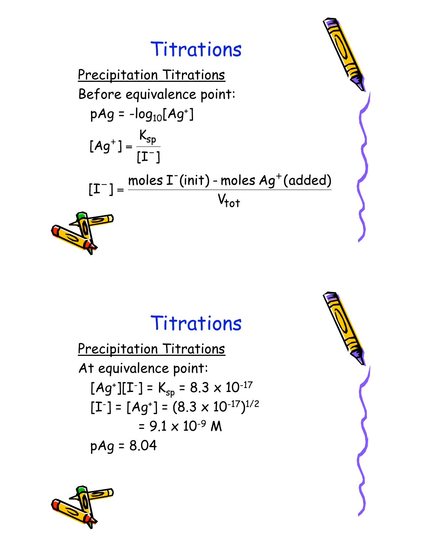

#### Titrations

Precipitation Titrations At equivalence point:  $[Ag^{\dagger}][I^{\dagger}] = K_{sp} = 8.3 \times 10^{-17}$  $[L^{-}] = [Ag^{+}] = (8.3 \times 10^{-17})^{1/2}$  $= 9.1 \times 10^{-9}$  M  $pAg = 8.04$